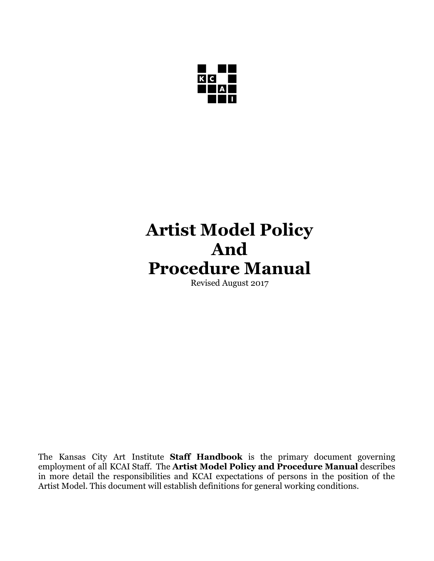

# **Artist Model Policy And Procedure Manual**

Revised August 2017

The Kansas City Art Institute **Staff Handbook** is the primary document governing employment of all KCAI Staff. The **Artist Model Policy and Procedure Manual** describes in more detail the responsibilities and KCAI expectations of persons in the position of the Artist Model. This document will establish definitions for general working conditions.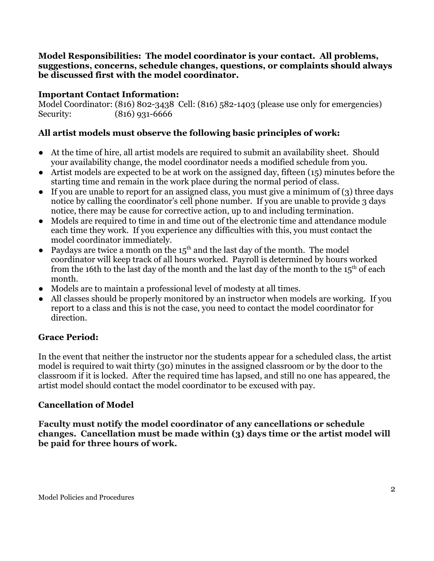#### **Model Responsibilities: The model coordinator is your contact. All problems, suggestions, concerns, schedule changes, questions, or complaints should always be discussed first with the model coordinator.**

#### **Important Contact Information:**

Model Coordinator: (816) 802-3438 Cell: (816) 582-1403 (please use only for emergencies) Security: (816) 931-6666

### **All artist models must observe the following basic principles of work:**

- At the time of hire, all artist models are required to submit an availability sheet. Should your availability change, the model coordinator needs a modified schedule from you.
- Artist models are expected to be at work on the assigned day, fifteen (15) minutes before the starting time and remain in the work place during the normal period of class.
- If you are unable to report for an assigned class, you must give a minimum of (3) three days notice by calling the coordinator's cell phone number. If you are unable to provide 3 days notice, there may be cause for corrective action, up to and including termination.
- Models are required to time in and time out of the electronic time and attendance module each time they work. If you experience any difficulties with this, you must contact the model coordinator immediately.
- Paydays are twice a month on the  $15<sup>th</sup>$  and the last day of the month. The model coordinator will keep track of all hours worked. Payroll is determined by hours worked from the 16th to the last day of the month and the last day of the month to the  $15<sup>th</sup>$  of each month.
- Models are to maintain a professional level of modesty at all times.
- All classes should be properly monitored by an instructor when models are working. If you report to a class and this is not the case, you need to contact the model coordinator for direction.

# **Grace Period:**

In the event that neither the instructor nor the students appear for a scheduled class, the artist model is required to wait thirty (30) minutes in the assigned classroom or by the door to the classroom if it is locked. After the required time has lapsed, and still no one has appeared, the artist model should contact the model coordinator to be excused with pay.

#### **Cancellation of Model**

**Faculty must notify the model coordinator of any cancellations or schedule changes. Cancellation must be made within (3) days time or the artist model will be paid for three hours of work.**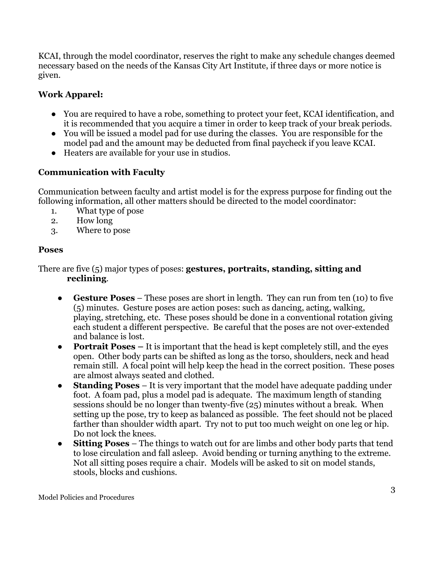KCAI, through the model coordinator, reserves the right to make any schedule changes deemed necessary based on the needs of the Kansas City Art Institute, if three days or more notice is given.

# **Work Apparel:**

- You are required to have a robe, something to protect your feet, KCAI identification, and it is recommended that you acquire a timer in order to keep track of your break periods.
- You will be issued a model pad for use during the classes. You are responsible for the model pad and the amount may be deducted from final paycheck if you leave KCAI.
- Heaters are available for your use in studios.

# **Communication with Faculty**

Communication between faculty and artist model is for the express purpose for finding out the following information, all other matters should be directed to the model coordinator:

- 1. What type of pose
- 2. How long
- 3. Where to pose

### **Poses**

There are five (5) major types of poses: **gestures, portraits, standing, sitting and reclining**.

- **Gesture Poses** These poses are short in length. They can run from ten (10) to five (5) minutes. Gesture poses are action poses: such as dancing, acting, walking, playing, stretching, etc. These poses should be done in a conventional rotation giving each student a different perspective. Be careful that the poses are not over-extended and balance is lost.
- **Portrait Poses** It is important that the head is kept completely still, and the eyes open. Other body parts can be shifted as long as the torso, shoulders, neck and head remain still. A focal point will help keep the head in the correct position. These poses are almost always seated and clothed.
- **Standing Poses** It is very important that the model have adequate padding under foot. A foam pad, plus a model pad is adequate. The maximum length of standing sessions should be no longer than twenty-five (25) minutes without a break. When setting up the pose, try to keep as balanced as possible. The feet should not be placed farther than shoulder width apart. Try not to put too much weight on one leg or hip. Do not lock the knees.
- **Sitting Poses** The things to watch out for are limbs and other body parts that tend to lose circulation and fall asleep. Avoid bending or turning anything to the extreme. Not all sitting poses require a chair. Models will be asked to sit on model stands, stools, blocks and cushions.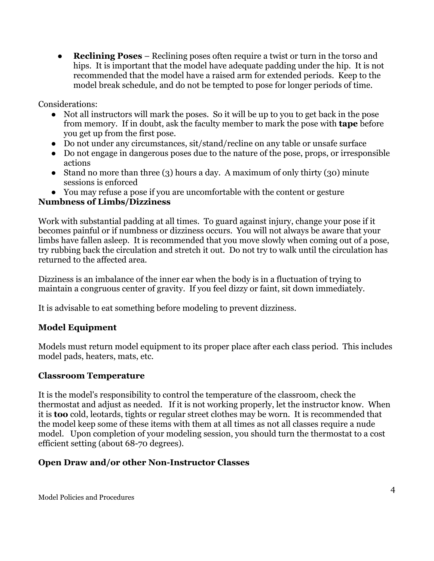● **Reclining Poses** – Reclining poses often require a twist or turn in the torso and hips. It is important that the model have adequate padding under the hip. It is not recommended that the model have a raised arm for extended periods. Keep to the model break schedule, and do not be tempted to pose for longer periods of time.

Considerations:

- Not all instructors will mark the poses. So it will be up to you to get back in the pose from memory. If in doubt, ask the faculty member to mark the pose with **tape** before you get up from the first pose.
- Do not under any circumstances, sit/stand/recline on any table or unsafe surface
- Do not engage in dangerous poses due to the nature of the pose, props, or irresponsible actions
- Stand no more than three (3) hours a day. A maximum of only thirty (30) minute sessions is enforced
- You may refuse a pose if you are uncomfortable with the content or gesture

#### **Numbness of Limbs/Dizziness**

Work with substantial padding at all times. To guard against injury, change your pose if it becomes painful or if numbness or dizziness occurs. You will not always be aware that your limbs have fallen asleep. It is recommended that you move slowly when coming out of a pose, try rubbing back the circulation and stretch it out. Do not try to walk until the circulation has returned to the affected area.

Dizziness is an imbalance of the inner ear when the body is in a fluctuation of trying to maintain a congruous center of gravity. If you feel dizzy or faint, sit down immediately.

It is advisable to eat something before modeling to prevent dizziness.

#### **Model Equipment**

Models must return model equipment to its proper place after each class period. This includes model pads, heaters, mats, etc.

#### **Classroom Temperature**

It is the model's responsibility to control the temperature of the classroom, check the thermostat and adjust as needed. If it is not working properly, let the instructor know. When it is **too** cold, leotards, tights or regular street clothes may be worn. It is recommended that the model keep some of these items with them at all times as not all classes require a nude model. Upon completion of your modeling session, you should turn the thermostat to a cost efficient setting (about 68-70 degrees).

#### **Open Draw and/or other Non-Instructor Classes**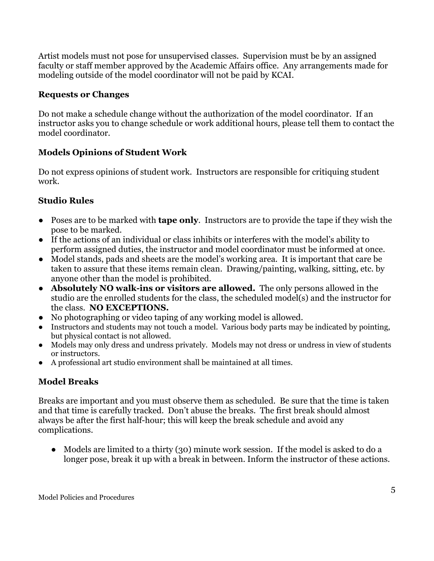Artist models must not pose for unsupervised classes. Supervision must be by an assigned faculty or staff member approved by the Academic Affairs office. Any arrangements made for modeling outside of the model coordinator will not be paid by KCAI.

#### **Requests or Changes**

Do not make a schedule change without the authorization of the model coordinator. If an instructor asks you to change schedule or work additional hours, please tell them to contact the model coordinator.

# **Models Opinions of Student Work**

Do not express opinions of student work. Instructors are responsible for critiquing student work.

# **Studio Rules**

- Poses are to be marked with **tape only**. Instructors are to provide the tape if they wish the pose to be marked.
- If the actions of an individual or class inhibits or interferes with the model's ability to perform assigned duties, the instructor and model coordinator must be informed at once.
- Model stands, pads and sheets are the model's working area. It is important that care be taken to assure that these items remain clean. Drawing/painting, walking, sitting, etc. by anyone other than the model is prohibited.
- **Absolutely NO walk-ins or visitors are allowed.** The only persons allowed in the studio are the enrolled students for the class, the scheduled model(s) and the instructor for the class. **NO EXCEPTIONS.**
- No photographing or video taping of any working model is allowed.
- Instructors and students may not touch a model. Various body parts may be indicated by pointing, but physical contact is not allowed.
- Models may only dress and undress privately. Models may not dress or undress in view of students or instructors.
- A professional art studio environment shall be maintained at all times.

# **Model Breaks**

Breaks are important and you must observe them as scheduled. Be sure that the time is taken and that time is carefully tracked. Don't abuse the breaks. The first break should almost always be after the first half-hour; this will keep the break schedule and avoid any complications.

• Models are limited to a thirty (30) minute work session. If the model is asked to do a longer pose, break it up with a break in between. Inform the instructor of these actions.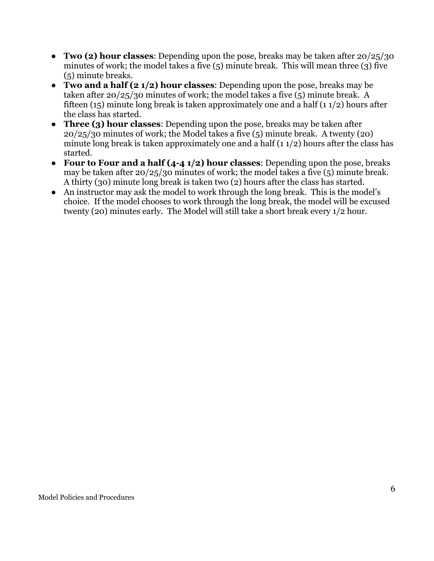- **Two (2) hour classes**: Depending upon the pose, breaks may be taken after 20/25/30 minutes of work; the model takes a five (5) minute break. This will mean three (3) five (5) minute breaks.
- **Two and a half (2 1/2) hour classes**: Depending upon the pose, breaks may be taken after 20/25/30 minutes of work; the model takes a five (5) minute break. A fifteen (15) minute long break is taken approximately one and a half (1  $1/2$ ) hours after the class has started.
- **Three (3) hour classes**: Depending upon the pose, breaks may be taken after 20/25/30 minutes of work; the Model takes a five (5) minute break. A twenty (20) minute long break is taken approximately one and a half  $(1 1/2)$  hours after the class has started.
- **Four to Four and a half (4-4 1/2) hour classes**: Depending upon the pose, breaks may be taken after 20/25/30 minutes of work; the model takes a five (5) minute break. A thirty (30) minute long break is taken two (2) hours after the class has started.
- An instructor may ask the model to work through the long break. This is the model's choice. If the model chooses to work through the long break, the model will be excused twenty (20) minutes early. The Model will still take a short break every 1/2 hour.